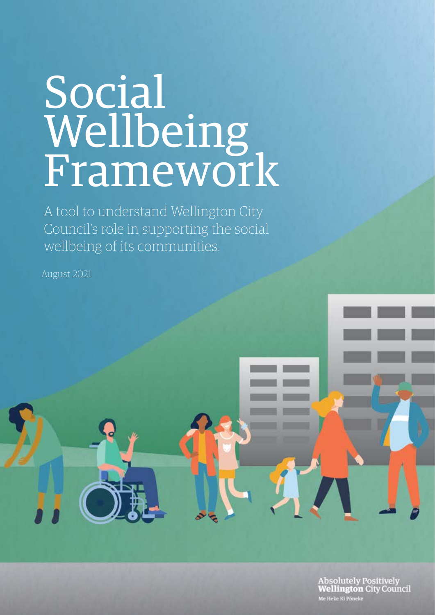# Social Wellbeing Framework

A tool to understand Wellington City Council's role in supporting the social wellbeing of its communities.

August 2021

Absolutely Positively<br>Wellington City Council Me Heke Ki Pôneke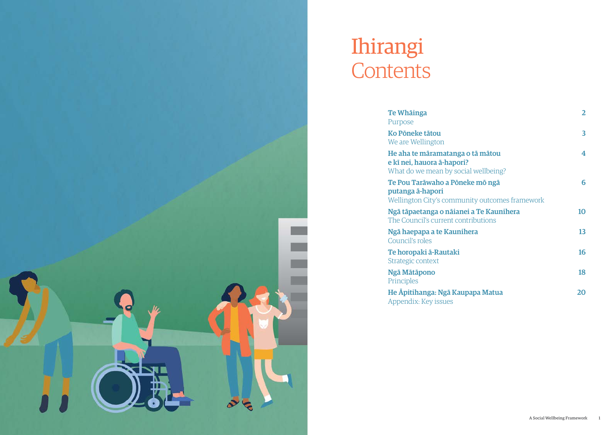| Te Whāinga<br>Purpose                                                                                  | $\overline{2}$ |
|--------------------------------------------------------------------------------------------------------|----------------|
| Ko Põneke tātou<br>We are Wellington                                                                   | 3              |
| He aha te māramatanga o tā mātou<br>e kī nei, hauora ā-hapori?<br>What do we mean by social wellbeing? | 4              |
| Te Pou Tarāwaho a Pōneke mō ngā<br>putanga ā-hapori<br>Wellington City's community outcomes framework  | 6              |
| Ngā tāpaetanga o nājanei a Te Kaunihera<br>The Council's current contributions                         | 10             |
| Ngā haepapa a te Kaunihera<br>Council's roles                                                          | 13             |
| <u>Te horopaki ā-Rautaki</u><br>Strategic context                                                      | 16             |
| Ngā Mātāpono<br>Principles                                                                             | 18             |
| He Apitihanga: Ngā Kaupapa Matua                                                                       | 20             |



He Āpitihanga: Ngā Kaup [Appendix: Key issues](#page-11-0)

# Ihirangi **Contents**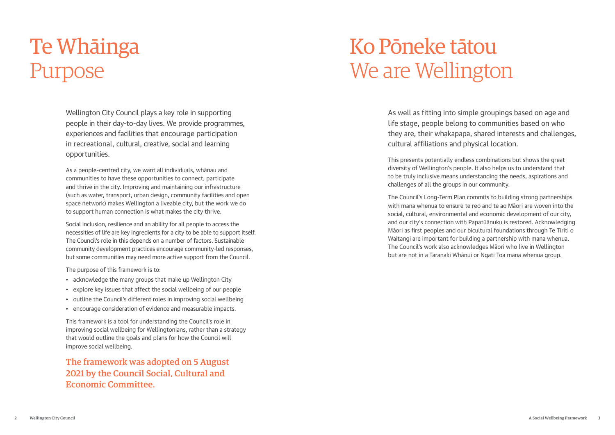Wellington City Council plays a key role in supporting people in their day-to-day lives. We provide programmes, experiences and facilities that encourage participation in recreational, cultural, creative, social and learning opportunities.

As a people-centred city, we want all individuals, whānau and communities to have these opportunities to connect, participate and thrive in the city. Improving and maintaining our infrastructure (such as water, transport, urban design, community facilities and open space network) makes Wellington a liveable city, but the work we do to support human connection is what makes the city thrive.

Social inclusion, resilience and an ability for all people to access the necessities of life are key ingredients for a city to be able to support itself. The Council's role in this depends on a number of factors. Sustainable community development practices encourage community-led responses, but some communities may need more active support from the Council.

The purpose of this framework is to:

- acknowledge the many groups that make up Wellington City
- explore key issues that affect the social wellbeing of our people
- outline the Council's different roles in improving social wellbeing
- encourage consideration of evidence and measurable impacts.

# Ko Pōneke tātou We are Wellington

This framework is a tool for understanding the Council's role in improving social wellbeing for Wellingtonians, rather than a strategy that would outline the goals and plans for how the Council will improve social wellbeing.

The framework was adopted on 5 August 2021 by the Council Social, Cultural and Economic Committee.

# <span id="page-2-0"></span>Te Whāinga Purpose

As well as fitting into simple groupings based on age and life stage, people belong to communities based on who they are, their whakapapa, shared interests and challenges, cultural affiliations and physical location.

This presents potentially endless combinations but shows the great diversity of Wellington's people. It also helps us to understand that to be truly inclusive means understanding the needs, aspirations and challenges of all the groups in our community.

The Council's Long-Term Plan commits to building strong partnerships with mana whenua to ensure te reo and te ao Māori are woven into the social, cultural, environmental and economic development of our city, and our city's connection with Papatūānuku is restored. Acknowledging Māori as first peoples and our bicultural foundations through Te Tiriti o Waitangi are important for building a partnership with mana whenua. The Council's work also acknowledges Māori who live in Wellington but are not in a Taranaki Whānui or Ngati Toa mana whenua group.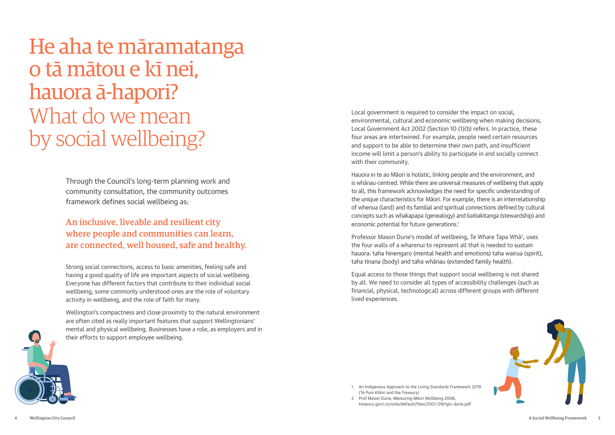<span id="page-3-0"></span>He aha te māramatanga o tā mātou e kī nei, hauora ā-hapori? What do we mean by social wellbeing?

> Through the Council's long-term planning work and community consultation, the community outcomes framework defines social wellbeing as:

Strong social connections, access to basic amenities, feeling safe and having a good quality of life are important aspects of social wellbeing. Everyone has different factors that contribute to their individual social wellbeing, some commonly understood ones are the role of voluntary activity in wellbeing, and the role of faith for many.

Hauora in te ao Māori is holistic, linking people and the environment, and is whānau-centred. While there are universal measures of wellbeing that apply to all, this framework acknowledges the need for specific understanding of the unique characteristics for Māori. For example, there is an interrelationship of whenua (land) and its familial and spiritual connections defined by cultural concepts such as whakapapa (genealogy) and kaitiakitanga (stewardship) and economic potential for future generations.<sup>1</sup>

Wellington's compactness and close proximity to the natural environment are often cited as really important features that support Wellingtonians' mental and physical wellbeing. Businesses have a role, as employers and in their efforts to support employee wellbeing.

Professor Mason Durie's model of wellbeing, Te Whare Tapa Whā<sup>2</sup>, uses the four walls of a wharenui to represent all that is needed to sustain hauora: taha hinengaro (mental health and emotions) taha wairua (spirit), taha tinana (body) and taha whānau (extended family health).



Equal access to those things that support social wellbeing is not shared by all. We need to consider all types of accessibility challenges (such as financial, physical, technological) across different groups with different lived experiences.

- 1 An Indigenous Approach to the Living Standards Framework 2019 (Te Puni Kōkiri and the Treasury)
- 2 Prof Mason Durie, *Measuring Māori Wellbeing 2006*, [treasury.govt.nz/sites/default/files/2007-09/tgls-durie.pdf](https://treasury.govt.nz/sites/default/files/2007-09/tgls-durie.pdf)





# An inclusive, liveable and resilient city where people and communities can learn, are connected, well housed, safe and healthy.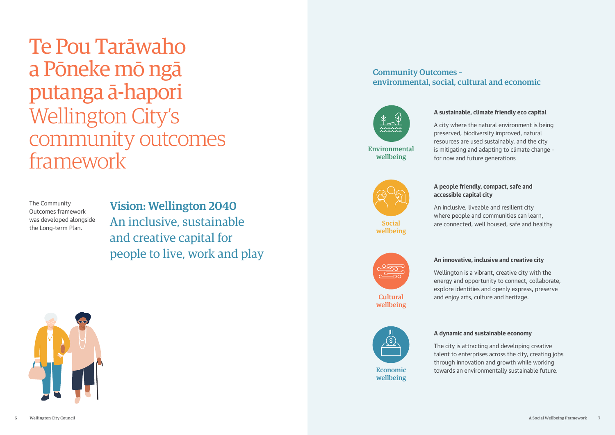<span id="page-4-0"></span>Te Pou Tarāwaho a Pōneke mō ngā putanga ā-hapori Wellington City's community outcomes framework





#### **A sustainable, climate friendly eco capital**

A city where the natural environment is being preserved, biodiversity improved, natural resources are used sustainably, and the city is mitigating and adapting to climate change – for now and future generations



#### **A people friendly, compact, safe and accessible capital city**

An inclusive, liveable and resilient city where people and communities can learn, are connected, well housed, safe and healthy

**Social** wellbeing



**Cultural** wellbeing



#### **An innovative, inclusive and creative city**

Wellington is a vibrant, creative city with the energy and opportunity to connect, collaborate, explore identities and openly express, preserve and enjoy arts, culture and heritage.

# **A dynamic and sustainable economy**



The city is attracting and developing creative talent to enterprises across the city, creating jobs through innovation and growth while working towards an environmentally sustainable future.

Environmental wellbeing

The Community Outcomes framework was developed alongside the Long-term Plan.

Vision: Wellington 2040 An inclusive, sustainable and creative capital for people to live, work and play

> Economic wellbeing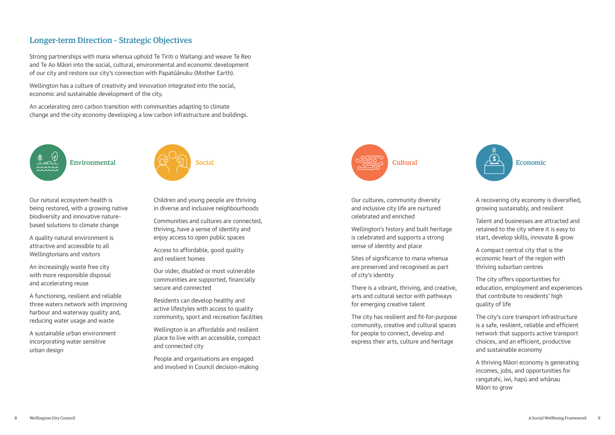### Longer-term Direction – Strategic Objectives

Strong partnerships with mana whenua uphold Te Tiriti o Waitangi and weave Te Reo and Te Ao Māori into the social, cultural, environmental and economic development of our city and restore our city's connection with Papatūānuku (Mother Earth).

Wellington has a culture of creativity and innovation integrated into the social, economic and sustainable development of the city.

An accelerating zero carbon transition with communities adapting to climate change and the city economy developing a low carbon infrastructure and buildings.



Our natural ecosystem health is being restored, with a growing native biodiversity and innovative naturebased solutions to climate change

A quality natural environment is attractive and accessible to all Wellingtonians and visitors

An increasingly waste free city with more responsible disposal and accelerating reuse

A functioning, resilient and reliable three waters network with improving harbour and waterway quality and, reducing water usage and waste

A sustainable urban environment incorporating water sensitive urban design



Children and young people are thriving in diverse and inclusive neighbourhoods

Communities and cultures are connected, thriving, have a sense of identity and enjoy access to open public spaces

Access to affordable, good quality and resilient homes

Our older, disabled or most vulnerable communities are supported, financially secure and connected

Residents can develop healthy and active lifestyles with access to quality community, sport and recreation facilities

Wellington is an affordable and resilient place to live with an accessible, compact and connected city

People and organisations are engaged and involved in Council decision-making Our cultures, community diversity and inclusive city life are nurtured celebrated and enriched

Wellington's history and built heritage is celebrated and supports a strong sense of identity and place

Sites of significance to mana whenua are preserved and recognised as part of city's identity

There is a vibrant, thriving, and creative, arts and cultural sector with pathways for emerging creative talent

The city has resilient and fit-for-purpose community, creative and cultural spaces for people to connect, develop and express their arts, culture and heritage



A recovering city economy is diversified, growing sustainably, and resilient

Talent and businesses are attracted and retained to the city where it is easy to start, develop skills, innovate & grow

A compact central city that is the economic heart of the region with thriving suburban centres

The city offers opportunities for education, employment and experiences that contribute to residents' high quality of life

The city's core transport infrastructure is a safe, resilient, reliable and efficient network that supports active transport choices, and an efficient, productive and sustainable economy

A thriving Māori economy is generating incomes, jobs, and opportunities for rangatahi, iwi, hapū and whānau Māori to grow

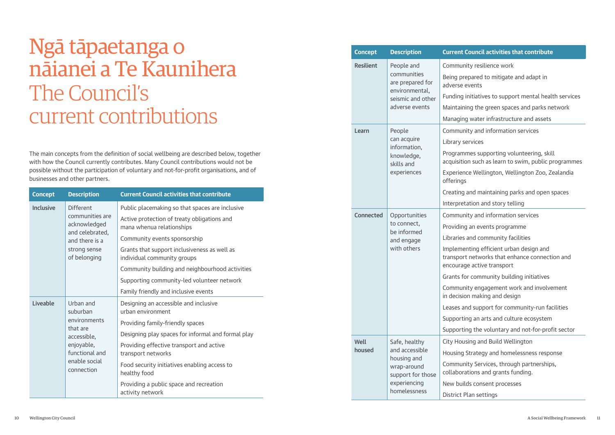# <span id="page-6-0"></span>Ngā tāpaetanga o nāianei a Te Kaunihera The Council's current contributions

The main concepts from the definition of social wellbeing are described below, together with how the Council currently contributes. Many Council contributions would not be possible without the participation of voluntary and not-for-profit organisations, and of businesses and other partners.

| <b>Concept</b>   | <b>Description</b>                                                         | <b>Current Council activities that contribute</b>                           |
|------------------|----------------------------------------------------------------------------|-----------------------------------------------------------------------------|
| <b>Inclusive</b> | <b>Different</b>                                                           | Public placemaking so that spaces are inclusive                             |
|                  | communities are<br>acknowledged                                            | Active protection of treaty obligations and<br>mana whenua relationships    |
|                  | and celebrated,<br>and there is a<br>strong sense<br>of belonging          | Community events sponsorship                                                |
|                  |                                                                            | Grants that support inclusiveness as well as<br>individual community groups |
|                  |                                                                            | Community building and neighbourhood activities                             |
|                  |                                                                            | Supporting community-led volunteer network                                  |
|                  |                                                                            | Family friendly and inclusive events                                        |
| Liveable         | Urban and                                                                  | Designing an accessible and inclusive                                       |
|                  | suburban                                                                   | urban environment                                                           |
|                  | environments<br>that are                                                   | Providing family-friendly spaces                                            |
|                  | accessible,<br>enjoyable,<br>functional and<br>enable social<br>connection | Designing play spaces for informal and formal play                          |
|                  |                                                                            | Providing effective transport and active<br>transport networks              |
|                  |                                                                            | Food security initiatives enabling access to<br>healthy food                |
|                  |                                                                            | Providing a public space and recreation<br>activity network                 |

| <b>Concept</b>   | <b>Description</b>                                                                                                 | <b>Current C</b>                                                                                                                                        |
|------------------|--------------------------------------------------------------------------------------------------------------------|---------------------------------------------------------------------------------------------------------------------------------------------------------|
| <b>Resilient</b> | People and<br>communities<br>are prepared for<br>environmental,<br>seismic and other<br>adverse events             | Communi<br>Being pre<br>adverse e<br>Funding in<br>Maintainir<br>Managing                                                                               |
| Learn            | People<br>can acquire<br>information,<br>knowledge,<br>skills and<br>experiences                                   | Communi<br>Library se<br>Programn<br>acquisitio<br>Experienc<br>offerings<br>Creating a<br>Interpreta                                                   |
| <b>Connected</b> | Opportunities<br>to connect,<br>be informed<br>and engage<br>with others                                           | Communi<br>Providing<br>Libraries a<br>Implemer<br>transport<br>encourage<br>Grants for<br>Communi<br>in decisio<br>Leases an<br>Supportin<br>Supportin |
| Well<br>housed   | Safe, healthy<br>and accessible<br>housing and<br>wrap-around<br>support for those<br>experiencing<br>homelessness | <b>City Hous</b><br><b>Housing S</b><br>Communi<br>collaborat<br>New build<br><b>District Pl</b>                                                        |

#### **Council activities that contribute**

- ity resilience work
- pared to mitigate and adapt in vents
- nitiatives to support mental health services
- ng the green spaces and parks network
- water infrastructure and assets
- ity and information services
- ervices
- nes supporting volunteering, skill
- In such as learn to swim, public programmes
- ce Wellington, Wellington Zoo, Zealandia
- and maintaining parks and open spaces
- ation and story telling
- ity and information services
- an events programme
- and community facilities
- nting efficient urban design and
- networks that enhance connection and e active transport
- r community building initiatives
- ity engagement work and involvement n making and design
- Id support for community-run facilities
- iq an arts and culture ecosystem
- Ig the voluntary and not-for-profit sector
- ing and Build Wellington
- Strategy and homelessness response
- ity Services, through partnerships, tions and grants funding.
- ds consent processes
- lan settings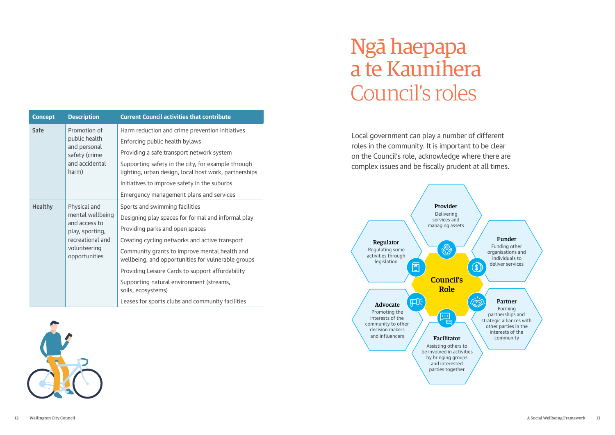Local government can play a number of different roles in the community. It is important to be clear on the Council's role, acknowledge where there are complex issues and be fiscally prudent at all times.

| Ngā haepapa     |
|-----------------|
| a te Kaunihera  |
| Council's roles |

<span id="page-7-0"></span>

| <b>Concept</b> | <b>Description</b>                                                                                                        | <b>Current Council activities that contribute</b>                                                           |
|----------------|---------------------------------------------------------------------------------------------------------------------------|-------------------------------------------------------------------------------------------------------------|
| <b>Safe</b>    | Promotion of<br>public health<br>and personal<br>safety (crime<br>and accidental<br>harm)                                 | Harm reduction and crime prevention initiatives                                                             |
|                |                                                                                                                           | Enforcing public health bylaws                                                                              |
|                |                                                                                                                           | Providing a safe transport network system                                                                   |
|                |                                                                                                                           | Supporting safety in the city, for example through<br>lighting, urban design, local host work, partnerships |
|                |                                                                                                                           | Initiatives to improve safety in the suburbs                                                                |
|                |                                                                                                                           | Emergency management plans and services                                                                     |
| <b>Healthy</b> | Physical and<br>mental wellbeing<br>and access to<br>play, sporting,<br>recreational and<br>volunteering<br>opportunities | Sports and swimming facilities                                                                              |
|                |                                                                                                                           | Designing play spaces for formal and informal play                                                          |
|                |                                                                                                                           | Providing parks and open spaces                                                                             |
|                |                                                                                                                           | Creating cycling networks and active transport                                                              |
|                |                                                                                                                           | Community grants to improve mental health and<br>wellbeing, and opportunities for vulnerable groups         |
|                |                                                                                                                           | Providing Leisure Cards to support affordability                                                            |
|                |                                                                                                                           | Supporting natural environment (streams,<br>soils, ecosystems)                                              |
|                |                                                                                                                           | Leases for sports clubs and community facilities                                                            |



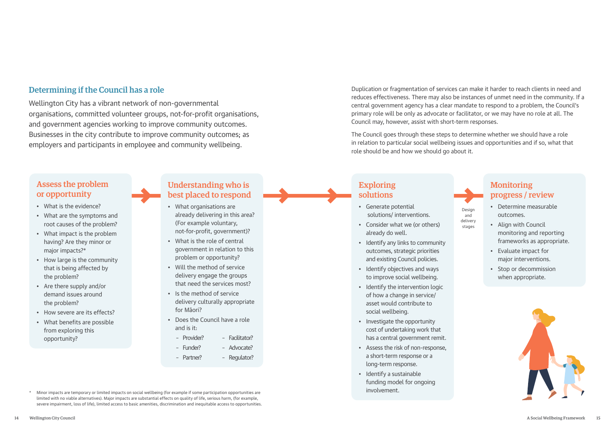### Determining if the Council has a role

Wellington City has a vibrant network of non-governmental organisations, committed volunteer groups, not-for-profit organisations, and government agencies working to improve community outcomes. Businesses in the city contribute to improve community outcomes; as employers and participants in employee and community wellbeing.

Assess the problem or opportunity

- What is the evidence?
- What are the symptoms and root causes of the problem?
- What impact is the problem having? Are they minor or major impacts?\*
- How large is the community that is being affected by the problem?
- Are there supply and/or demand issues around the problem?
- How severe are its effects?
- What benefits are possible from exploring this opportunity?

### Understanding who is best placed to respond

### **Monitoring** progress / review

- What organisations are already delivering in this area? (For example voluntary, not-for-profit, government)?
- What is the role of central government in relation to this problem or opportunity?
- Will the method of service delivery engage the groups that need the services most?
- Is the method of service delivery culturally appropriate for Māori?
- Does the Council have a role and is it:
	- Provider? – Facilitator?
	- Funder? – Advocate?
	- Partner? – Regulator?
- Minor impacts are temporary or limited impacts on social wellbeing (for example if some participation opportunities are limited with no viable alternatives). Major impacts are substantial effects on quality of life, serious harm, (for example, severe impairment, loss of life), limited access to basic amenities, discrimination and inequitable access to opportunities.

### Exploring solutions

- Generate potential solutions/ interventions.
- Consider what we (or others) already do well.
- Identify any links to community outcomes, strategic priorities and existing Council policies.
- Identify objectives and ways to improve social wellbeing.
- Identify the intervention logic of how a change in service/ asset would contribute to social wellbeing.
- Investigate the opportunity cost of undertaking work that has a central government remit.
- Assess the risk of non-response, a short-term response or a long-term response.
- Identify a sustainable funding model for ongoing involvement.
- Determine measurable outcomes.
- Align with Council monitoring and reporting frameworks as appropriate.
- Evaluate impact for major interventions.
- Stop or decommission when appropriate.





Design and delivery stages

Duplication or fragmentation of services can make it harder to reach clients in need and reduces effectiveness. There may also be instances of unmet need in the community. If a central government agency has a clear mandate to respond to a problem, the Council's primary role will be only as advocate or facilitator, or we may have no role at all. The Council may, however, assist with short-term responses.

The Council goes through these steps to determine whether we should have a role in relation to particular social wellbeing issues and opportunities and if so, what that role should be and how we should go about it.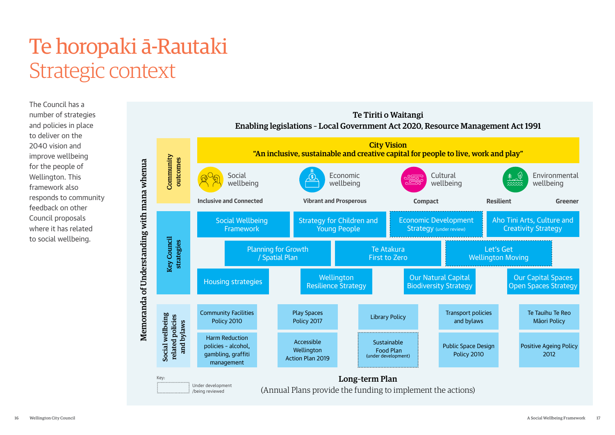Te Tiriti o Waitangi





The Council has a number of strategies and policies in place to deliver on the 2040 vision and improve wellbeing for the people of Wellington. This framework also responds to community feedback on other Council proposals where it has related to social wellbeing.

# <span id="page-9-0"></span>Te horopaki ā-Rautaki Strategic context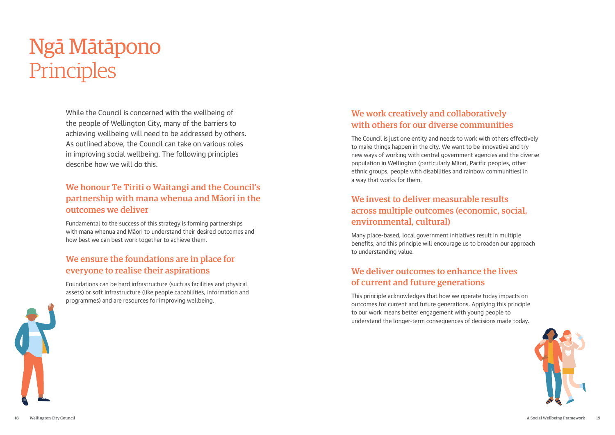While the Council is concerned with the wellbeing of the people of Wellington City, many of the barriers to achieving wellbeing will need to be addressed by others. As outlined above, the Council can take on various roles in improving social wellbeing. The following principles describe how we will do this.

## We honour Te Tiriti o Waitangi and the Council's partnership with mana whenua and Māori in the outcomes we deliver

Fundamental to the success of this strategy is forming partnerships with mana whenua and Māori to understand their desired outcomes and how best we can best work together to achieve them.

# We ensure the foundations are in place for everyone to realise their aspirations

Foundations can be hard infrastructure (such as facilities and physical assets) or soft infrastructure (like people capabilities, information and programmes) and are resources for improving wellbeing.

# <span id="page-10-0"></span>Ngā Mātāpono Principles

# We work creatively and collaboratively with others for our diverse communities

The Council is just one entity and needs to work with others effectively to make things happen in the city. We want to be innovative and try new ways of working with central government agencies and the diverse population in Wellington (particularly Māori, Pacific peoples, other ethnic groups, people with disabilities and rainbow communities) in a way that works for them.

# We invest to deliver measurable results across multiple outcomes (economic, social, environmental, cultural)

Many place-based, local government initiatives result in multiple benefits, and this principle will encourage us to broaden our approach to understanding value.

# We deliver outcomes to enhance the lives of current and future generations

This principle acknowledges that how we operate today impacts on outcomes for current and future generations. Applying this principle to our work means better engagement with young people to understand the longer-term consequences of decisions made today.



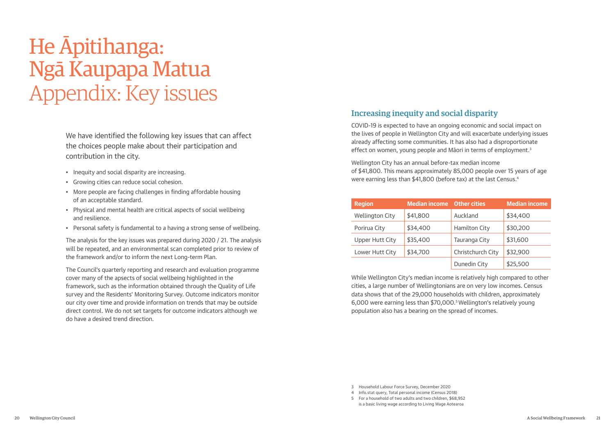# Increasing inequity and social disparity

COVID-19 is expected to have an ongoing economic and social impact on the lives of people in Wellington City and will exacerbate underlying issues already affecting some communities. It has also had a disproportionate effect on women, young people and Māori in terms of employment.<sup>3</sup>

Wellington City has an annual before-tax median income of \$41,800. This means approximately 85,000 people over 15 years of age were earning less than \$41,800 (before tax) at the last Census.4

| <b>Region</b>          | <b>Median income</b> Other cities |                      | <b>Median income</b> |
|------------------------|-----------------------------------|----------------------|----------------------|
| <b>Wellington City</b> | \$41,800                          | Auckland             | \$34,400             |
| Porirua City           | \$34,400                          | <b>Hamilton City</b> | \$30,200             |
| Upper Hutt City        | \$35,400                          | Tauranga City        | \$31,600             |
| Lower Hutt City        | \$34,700                          | Christchurch City    | \$32,900             |
|                        |                                   | Dunedin City         | \$25,500             |

While Wellington City's median income is relatively high compared to other cities, a large number of Wellingtonians are on very low incomes. Census data shows that of the 29,000 households with children, approximately 6,000 were earning less than \$70,000.5 Wellington's relatively young population also has a bearing on the spread of incomes.

We have identified the following key issues that can affect the choices people make about their participation and contribution in the city.

- Inequity and social disparity are increasing.
- Growing cities can reduce social cohesion.
- More people are facing challenges in finding affordable housing of an acceptable standard.
- Physical and mental health are critical aspects of social wellbeing and resilience.
- Personal safety is fundamental to a having a strong sense of wellbeing.

The analysis for the key issues was prepared during 2020 / 21. The analysis will be repeated, and an environmental scan completed prior to review of the framework and/or to inform the next Long-term Plan.

The Council's quarterly reporting and research and evaluation programme cover many of the apsects of social wellbeing highlighted in the framework, such as the information obtained through the Quality of Life survey and the Residents' Monitoring Survey. Outcome indicators monitor our city over time and provide information on trends that may be outside direct control. We do not set targets for outcome indicators although we do have a desired trend direction.

# <span id="page-11-0"></span>He Āpitihanga: Ngā Kaupapa Matua Appendix: Key issues

<sup>3</sup> Household Labour Force Survey, December 2020

<sup>4</sup> Info.stat query, Total personal income (Census 2018)

<sup>5</sup> For a household of two adults and two children, \$68,952 is a basic living wage according to Living Wage Aotearoa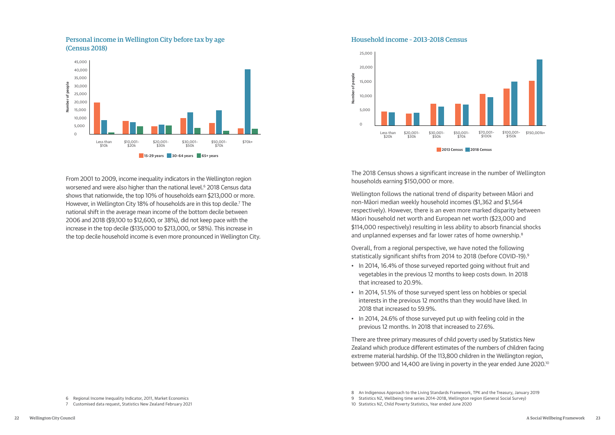From 2001 to 2009, income inequality indicators in the Wellington region worsened and were also higher than the national level.<sup>6</sup> 2018 Census data shows that nationwide, the top 10% of households earn \$213,000 or more. However, in Wellington City 18% of households are in this top decile.<sup>7</sup> The national shift in the average mean income of the bottom decile between 2006 and 2018 (\$9,100 to \$12,600, or 38%), did not keep pace with the increase in the top decile (\$135,000 to \$213,000, or 58%). This increase in the top decile household income is even more pronounced in Wellington City.

Wellington follows the national trend of disparity between Māori and non-Māori median weekly household incomes (\$1,362 and \$1,564 respectively). However, there is an even more marked disparity between Māori household net worth and European net worth (\$23,000 and \$114,000 respectively) resulting in less ability to absorb financial shocks and unplanned expenses and far lower rates of home ownership.<sup>8</sup>



The 2018 Census shows a significant increase in the number of Wellington households earning \$150,000 or more.

Overall, from a regional perspective, we have noted the following statistically significant shifts from 2014 to 2018 (before COVID-19).9 • In 2014, 16.4% of those surveyed reported going without fruit and

- vegetables in the previous 12 months to keep costs down. In 2018 that increased to 20.9%.
- In 2014, 51.5% of those surveyed spent less on hobbies or special interests in the previous 12 months than they would have liked. In 2018 that increased to 59.9%.
- In 2014, 24.6% of those surveyed put up with feeling cold in the previous 12 months. In 2018 that increased to 27.6%.

There are three primary measures of child poverty used by Statistics New Zealand which produce different estimates of the numbers of children facing extreme material hardship. Of the 113,800 children in the Wellington region, between 9700 and 14,400 are living in poverty in the year ended June 2020.10



#### Household income – 2013–2018 Census



Personal income in Wellington City before tax by age (Census 2018)

<sup>6</sup> Regional Income Inequality Indicator, 2011, Market Economics

<sup>7</sup> Customised data request, Statistics New Zealand February 2021

<sup>8</sup> An Indigenous Approach to the Living Standards Framework, TPK and the Treasury, January 2019

<sup>9</sup> Statistics NZ, Wellbeing time series 2014–2018, Wellington region (General Social Survey)

<sup>10</sup> Statistics NZ, Child Poverty Statistics, Year ended June 2020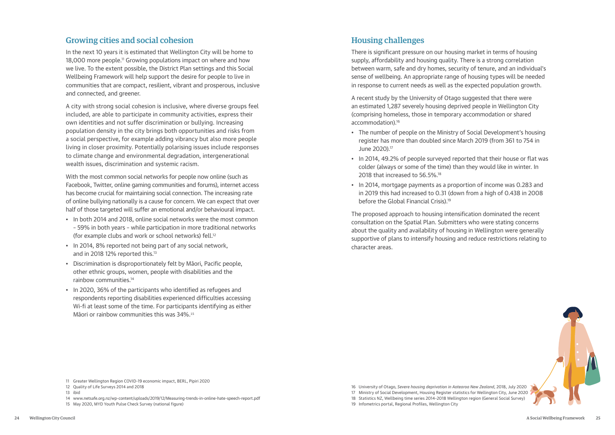### Growing cities and social cohesion

In the next 10 years it is estimated that Wellington City will be home to 18,000 more people.<sup>11</sup> Growing populations impact on where and how we live. To the extent possible, the District Plan settings and this Social Wellbeing Framework will help support the desire for people to live in communities that are compact, resilient, vibrant and prosperous, inclusive and connected, and greener.

A city with strong social cohesion is inclusive, where diverse groups feel included, are able to participate in community activities, express their own identities and not suffer discrimination or bullying. Increasing population density in the city brings both opportunities and risks from a social perspective, for example adding vibrancy but also more people living in closer proximity. Potentially polarising issues include responses to climate change and environmental degradation, intergenerational wealth issues, discrimination and systemic racism.

With the most common social networks for people now online (such as Facebook, Twitter, online gaming communities and forums), internet access has become crucial for maintaining social connection. The increasing rate of online bullying nationally is a cause for concern. We can expect that over half of those targeted will suffer an emotional and/or behavioural impact.

- In both 2014 and 2018, online social networks were the most common – 59% in both years – while participation in more traditional networks (for example clubs and work or school networks) fell.12
- In 2014, 8% reported not being part of any social network, and in 2018 12% reported this.<sup>13</sup>
- Discrimination is disproportionately felt by Māori, Pacific people, other ethnic groups, women, people with disabilities and the rainbow communities.14
- In 2020, 36% of the participants who identified as refugees and respondents reporting disabilities experienced difficulties accessing Wi-fi at least some of the time. For participants identifying as either Māori or rainbow communities this was 34%.<sup>15</sup>

### Housing challenges

There is significant pressure on our housing market in terms of housing supply, affordability and housing quality. There is a strong correlation between warm, safe and dry homes, security of tenure, and an individual's sense of wellbeing. An appropriate range of housing types will be needed in response to current needs as well as the expected population growth.

A recent study by the University of Otago suggested that there were an estimated 1,287 severely housing deprived people in Wellington City (comprising homeless, those in temporary accommodation or shared accommodation).16

- The number of people on the Ministry of Social Development's housing register has more than doubled since March 2019 (from 361 to 754 in June 2020).17
- In 2014, 49.2% of people surveyed reported that their house or flat was colder (always or some of the time) than they would like in winter. In 2018 that increased to 56.5%.<sup>18</sup>
- In 2014, mortgage payments as a proportion of income was 0.283 and in 2019 this had increased to 0.31 (down from a high of 0.438 in 2008 before the Global Financial Crisis).19

The proposed approach to housing intensification dominated the recent consultation on the Spatial Plan. Submitters who were stating concerns about the quality and availability of housing in Wellington were generally supportive of plans to intensify housing and reduce restrictions relating to character areas.



<sup>11</sup> Greater Wellington Region COVID-19 economic impact, BERL, Pipiri 2020

<sup>12</sup> Quality of Life Surveys 2014 and 2018

<sup>13</sup> ibid

<sup>14</sup> [www.netsafe.org.nz/wp-content/uploads/2019/12/Measuring-trends-in-online-hate-speech-report.pdf](https://www.netsafe.org.nz/wp-content/uploads/2019/12/Measuring-trends-in-online-hate-speech-report.pdf) 

<sup>15</sup> May 2020, MYD Youth Pulse Check Survey (national figure)

<sup>16</sup> University of Otago, *Severe housing deprivation in Aotearoa New Zealand*, 2018, July 2020

<sup>17</sup> Ministry of Social Development, Housing Register statistics for Wellington City, June 2020

<sup>18</sup> Statistics NZ, Wellbeing time series 2014–2018 Wellington region (General Social Survey)

<sup>19</sup> Infometrics portal, Regional Profiles, Wellington City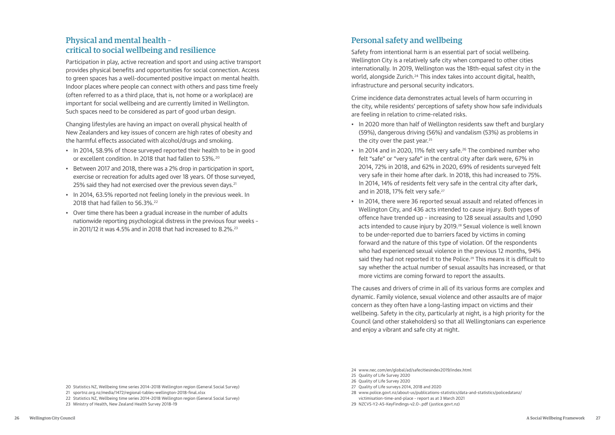### Physical and mental health – critical to social wellbeing and resilience

Participation in play, active recreation and sport and using active transport provides physical benefits and opportunities for social connection. Access to green spaces has a well-documented positive impact on mental health. Indoor places where people can connect with others and pass time freely (often referred to as a third place, that is, not home or a workplace) are important for social wellbeing and are currently limited in Wellington. Such spaces need to be considered as part of good urban design.

- In 2014, 58.9% of those surveyed reported their health to be in good or excellent condition. In 2018 that had fallen to 53%.20
- Between 2017 and 2018, there was a 2% drop in participation in sport, exercise or recreation for adults aged over 18 years. Of those surveyed, 25% said they had not exercised over the previous seven days.<sup>21</sup>
- In 2014, 63.5% reported not feeling lonely in the previous week. In 2018 that had fallen to 56.3%.<sup>22</sup>
- Over time there has been a gradual increase in the number of adults nationwide reporting psychological distress in the previous four weeks – in 2011/12 it was 4.5% and in 2018 that had increased to 8.2%.<sup>23</sup>

Changing lifestyles are having an impact on overall physical health of New Zealanders and key issues of concern are high rates of obesity and the harmful effects associated with alcohol/drugs and smoking.

- 20 Statistics NZ, Wellbeing time series 2014–2018 Wellington region (General Social Survey)
- 21 [sportnz.org.nz/media/1472/regional-tables-wellington-2018-final.xlsx](https://sportnz.org.nz/media/1472/regional-tables-wellington-2018-final.xlsx)
- 22 Statistics NZ, Wellbeing time series 2014–2018 Wellington region (General Social Survey)
- 23 Ministry of Health, New Zealand Health Survey 2018–19

## Personal safety and wellbeing

Safety from intentional harm is an essential part of social wellbeing. Wellington City is a relatively safe city when compared to other cities internationally. In 2019, Wellington was the 18th-equal safest city in the world, alongside Zurich.<sup>24</sup> This index takes into account digital, health, infrastructure and personal security indicators.

Crime incidence data demonstrates actual levels of harm occurring in the city, while residents' perceptions of safety show how safe individuals are feeling in relation to crime-related risks.

- In 2020 more than half of Wellington residents saw theft and burglary (59%), dangerous driving (56%) and vandalism (53%) as problems in the city over the past year.<sup>25</sup>
- In 2014 and in 2020, 11% felt very safe.<sup>26</sup> The combined number who felt "safe" or "very safe" in the central city after dark were, 67% in 2014, 72% in 2018, and 62% in 2020, 69% of residents surveyed felt very safe in their home after dark. In 2018, this had increased to 75%. In 2014, 14% of residents felt very safe in the central city after dark, and in 2018, 17% felt very safe.<sup>27</sup>
- In 2014, there were 36 reported sexual assault and related offences in Wellington City, and 436 acts intended to cause injury. Both types of offence have trended up – increasing to 128 sexual assaults and 1,090 acts intended to cause injury by 2019.<sup>28</sup> Sexual violence is well known to be under-reported due to barriers faced by victims in coming forward and the nature of this type of violation. Of the respondents who had experienced sexual violence in the previous 12 months, 94% said they had not reported it to the Police.<sup>29</sup> This means it is difficult to say whether the actual number of sexual assaults has increased, or that more victims are coming forward to report the assaults.

The causes and drivers of crime in all of its various forms are complex and dynamic. Family violence, sexual violence and other assaults are of major concern as they often have a long-lasting impact on victims and their wellbeing. Safety in the city, particularly at night, is a high priority for the Council (and other stakeholders) so that all Wellingtonians can experience and enjoy a vibrant and safe city at night.

- 25 Quality of Life Survey 2020
- 26 Quality of Life Survey 2020
- 27 Quality of Life surveys 2014, 2018 and 2020
- 28 [www.police.govt.nz/about-us/publications-statistics/data-and-statistics/policedatanz/](https://www.police.govt.nz/about-us/publications-statistics/data-and-statistics/policedatanz/victimisation-time-and-place) [victimisation-time-and-place](https://www.police.govt.nz/about-us/publications-statistics/data-and-statistics/policedatanz/victimisation-time-and-place) – report as at 3 March 2021
- 29 [NZCVS-Y2-A5-KeyFindings-v2.0-.pdf \(justice.govt.nz\)](https://www.justice.govt.nz/assets/Documents/Publications/NZCVS-Y2-A5-KeyFindings-v2.0-.pdf)

<sup>24</sup> [www.nec.com/en/global/ad/safecitiesindex2019/index.html](https://www.nec.com/en/global/ad/safecitiesindex2019/index.html)